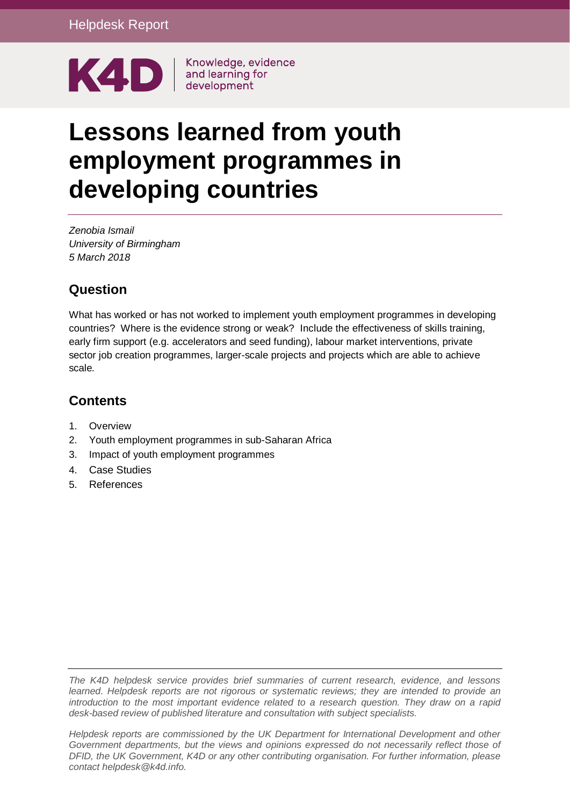

Knowledge, evidence

# **Lessons learned from youth employment programmes in developing countries**

*Zenobia Ismail University of Birmingham 5 March 2018*

# **Question**

What has worked or has not worked to implement youth employment programmes in developing countries? Where is the evidence strong or weak? Include the effectiveness of skills training, early firm support (e.g. accelerators and seed funding), labour market interventions, private sector job creation programmes, larger-scale projects and projects which are able to achieve scale*.*

# **Contents**

- 1. [Overview](#page-1-0)
- 2. [Youth employment programmes in sub-Saharan Africa](#page-2-0)
- 3. [Impact of youth employment programmes](#page-5-0)
- 4. Case Studies
- 5. [References](#page-11-0)

*The K4D helpdesk service provides brief summaries of current research, evidence, and lessons learned. Helpdesk reports are not rigorous or systematic reviews; they are intended to provide an introduction to the most important evidence related to a research question. They draw on a rapid desk-based review of published literature and consultation with subject specialists.* 

*Helpdesk reports are commissioned by the UK Department for International Development and other*  Government departments, but the views and opinions expressed do not necessarily reflect those of *DFID, the UK Government, K4D or any other contributing organisation. For further information, please contact helpdesk@k4d.info.*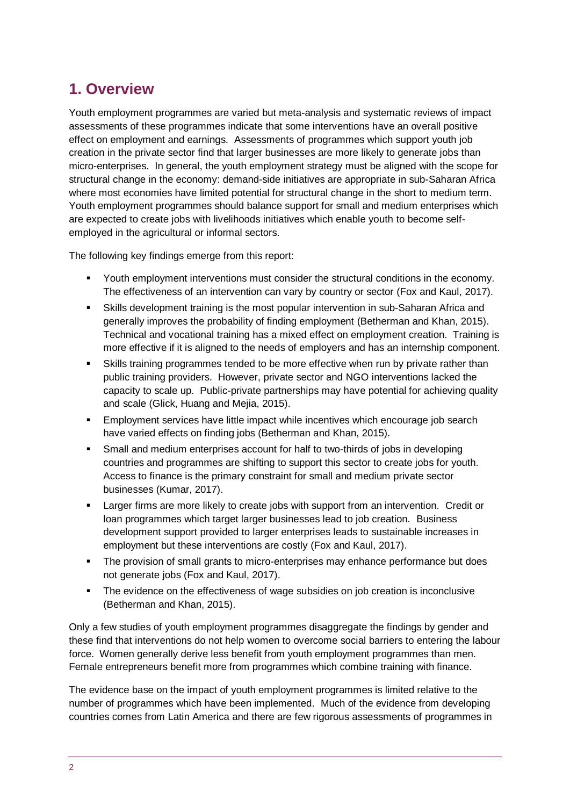# <span id="page-1-0"></span>**1. Overview**

Youth employment programmes are varied but meta-analysis and systematic reviews of impact assessments of these programmes indicate that some interventions have an overall positive effect on employment and earnings. Assessments of programmes which support youth job creation in the private sector find that larger businesses are more likely to generate jobs than micro-enterprises. In general, the youth employment strategy must be aligned with the scope for structural change in the economy: demand-side initiatives are appropriate in sub-Saharan Africa where most economies have limited potential for structural change in the short to medium term. Youth employment programmes should balance support for small and medium enterprises which are expected to create jobs with livelihoods initiatives which enable youth to become selfemployed in the agricultural or informal sectors.

The following key findings emerge from this report:

- **•** Youth employment interventions must consider the structural conditions in the economy. The effectiveness of an intervention can vary by country or sector (Fox and Kaul, 2017).
- **•** Skills development training is the most popular intervention in sub-Saharan Africa and generally improves the probability of finding employment (Betherman and Khan, 2015). Technical and vocational training has a mixed effect on employment creation. Training is more effective if it is aligned to the needs of employers and has an internship component.
- **•** Skills training programmes tended to be more effective when run by private rather than public training providers. However, private sector and NGO interventions lacked the capacity to scale up. Public-private partnerships may have potential for achieving quality and scale (Glick, Huang and Mejia, 2015).
- **Employment services have little impact while incentives which encourage job search** have varied effects on finding jobs (Betherman and Khan, 2015).
- Small and medium enterprises account for half to two-thirds of jobs in developing countries and programmes are shifting to support this sector to create jobs for youth. Access to finance is the primary constraint for small and medium private sector businesses (Kumar, 2017).
- Larger firms are more likely to create jobs with support from an intervention. Credit or loan programmes which target larger businesses lead to job creation. Business development support provided to larger enterprises leads to sustainable increases in employment but these interventions are costly (Fox and Kaul, 2017).
- The provision of small grants to micro-enterprises may enhance performance but does not generate jobs (Fox and Kaul, 2017).
- The evidence on the effectiveness of wage subsidies on job creation is inconclusive (Betherman and Khan, 2015).

Only a few studies of youth employment programmes disaggregate the findings by gender and these find that interventions do not help women to overcome social barriers to entering the labour force. Women generally derive less benefit from youth employment programmes than men. Female entrepreneurs benefit more from programmes which combine training with finance.

The evidence base on the impact of youth employment programmes is limited relative to the number of programmes which have been implemented. Much of the evidence from developing countries comes from Latin America and there are few rigorous assessments of programmes in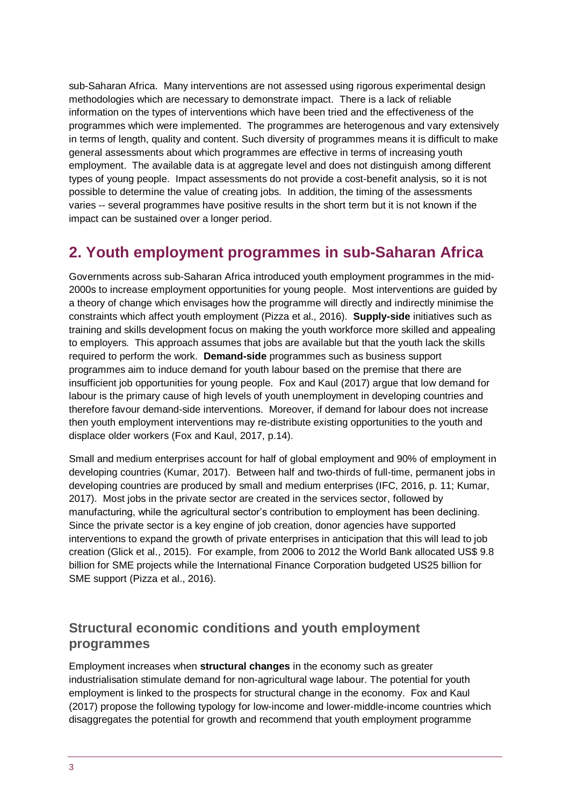sub-Saharan Africa. Many interventions are not assessed using rigorous experimental design methodologies which are necessary to demonstrate impact. There is a lack of reliable information on the types of interventions which have been tried and the effectiveness of the programmes which were implemented. The programmes are heterogenous and vary extensively in terms of length, quality and content. Such diversity of programmes means it is difficult to make general assessments about which programmes are effective in terms of increasing youth employment. The available data is at aggregate level and does not distinguish among different types of young people. Impact assessments do not provide a cost-benefit analysis, so it is not possible to determine the value of creating jobs. In addition, the timing of the assessments varies -- several programmes have positive results in the short term but it is not known if the impact can be sustained over a longer period.

# <span id="page-2-0"></span>**2. Youth employment programmes in sub-Saharan Africa**

Governments across sub-Saharan Africa introduced youth employment programmes in the mid-2000s to increase employment opportunities for young people. Most interventions are guided by a theory of change which envisages how the programme will directly and indirectly minimise the constraints which affect youth employment (Pizza et al., 2016). **Supply-side** initiatives such as training and skills development focus on making the youth workforce more skilled and appealing to employers. This approach assumes that jobs are available but that the youth lack the skills required to perform the work. **Demand-side** programmes such as business support programmes aim to induce demand for youth labour based on the premise that there are insufficient job opportunities for young people. Fox and Kaul (2017) argue that low demand for labour is the primary cause of high levels of youth unemployment in developing countries and therefore favour demand-side interventions. Moreover, if demand for labour does not increase then youth employment interventions may re-distribute existing opportunities to the youth and displace older workers (Fox and Kaul, 2017, p.14).

Small and medium enterprises account for half of global employment and 90% of employment in developing countries (Kumar, 2017). Between half and two-thirds of full-time, permanent jobs in developing countries are produced by small and medium enterprises (IFC, 2016, p. 11; Kumar, 2017). Most jobs in the private sector are created in the services sector, followed by manufacturing, while the agricultural sector's contribution to employment has been declining. Since the private sector is a key engine of job creation, donor agencies have supported interventions to expand the growth of private enterprises in anticipation that this will lead to job creation (Glick et al., 2015). For example, from 2006 to 2012 the World Bank allocated US\$ 9.8 billion for SME projects while the International Finance Corporation budgeted US25 billion for SME support (Pizza et al., 2016).

## **Structural economic conditions and youth employment programmes**

Employment increases when **structural changes** in the economy such as greater industrialisation stimulate demand for non-agricultural wage labour. The potential for youth employment is linked to the prospects for structural change in the economy. Fox and Kaul (2017) propose the following typology for low-income and lower-middle-income countries which disaggregates the potential for growth and recommend that youth employment programme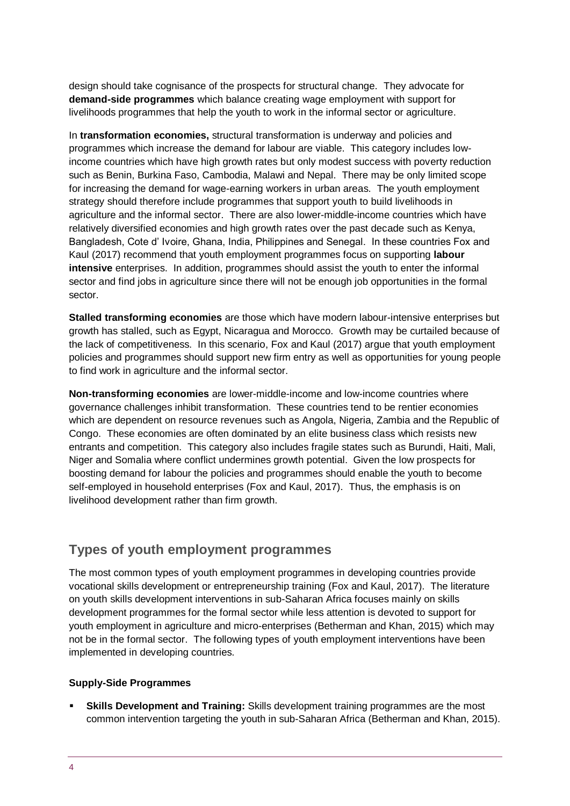design should take cognisance of the prospects for structural change. They advocate for **demand-side programmes** which balance creating wage employment with support for livelihoods programmes that help the youth to work in the informal sector or agriculture.

In **transformation economies,** structural transformation is underway and policies and programmes which increase the demand for labour are viable. This category includes lowincome countries which have high growth rates but only modest success with poverty reduction such as Benin, Burkina Faso, Cambodia, Malawi and Nepal. There may be only limited scope for increasing the demand for wage-earning workers in urban areas. The youth employment strategy should therefore include programmes that support youth to build livelihoods in agriculture and the informal sector. There are also lower-middle-income countries which have relatively diversified economies and high growth rates over the past decade such as Kenya, Bangladesh, Cote d' Ivoire, Ghana, India, Philippines and Senegal. In these countries Fox and Kaul (2017) recommend that youth employment programmes focus on supporting **labour intensive** enterprises. In addition, programmes should assist the youth to enter the informal sector and find jobs in agriculture since there will not be enough job opportunities in the formal sector.

**Stalled transforming economies** are those which have modern labour-intensive enterprises but growth has stalled, such as Egypt, Nicaragua and Morocco. Growth may be curtailed because of the lack of competitiveness. In this scenario, Fox and Kaul (2017) argue that youth employment policies and programmes should support new firm entry as well as opportunities for young people to find work in agriculture and the informal sector.

**Non-transforming economies** are lower-middle-income and low-income countries where governance challenges inhibit transformation. These countries tend to be rentier economies which are dependent on resource revenues such as Angola, Nigeria, Zambia and the Republic of Congo. These economies are often dominated by an elite business class which resists new entrants and competition. This category also includes fragile states such as Burundi, Haiti, Mali, Niger and Somalia where conflict undermines growth potential. Given the low prospects for boosting demand for labour the policies and programmes should enable the youth to become self-employed in household enterprises (Fox and Kaul, 2017). Thus, the emphasis is on livelihood development rather than firm growth.

## **Types of youth employment programmes**

The most common types of youth employment programmes in developing countries provide vocational skills development or entrepreneurship training (Fox and Kaul, 2017). The literature on youth skills development interventions in sub-Saharan Africa focuses mainly on skills development programmes for the formal sector while less attention is devoted to support for youth employment in agriculture and micro-enterprises (Betherman and Khan, 2015) which may not be in the formal sector. The following types of youth employment interventions have been implemented in developing countries.

#### **Supply-Side Programmes**

**EXEL Skills Development and Training:** Skills development training programmes are the most common intervention targeting the youth in sub-Saharan Africa (Betherman and Khan, 2015).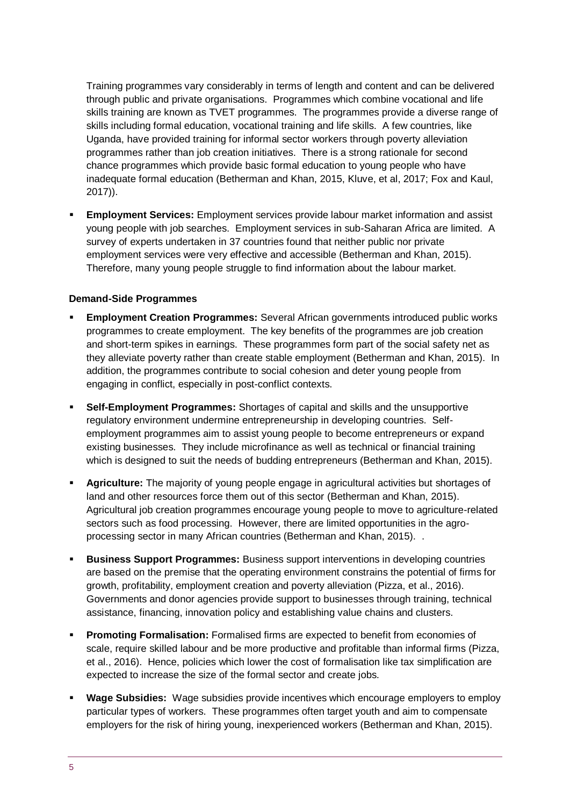Training programmes vary considerably in terms of length and content and can be delivered through public and private organisations. Programmes which combine vocational and life skills training are known as TVET programmes. The programmes provide a diverse range of skills including formal education, vocational training and life skills. A few countries, like Uganda, have provided training for informal sector workers through poverty alleviation programmes rather than job creation initiatives. There is a strong rationale for second chance programmes which provide basic formal education to young people who have inadequate formal education (Betherman and Khan, 2015, Kluve, et al, 2017; Fox and Kaul, 2017)).

**Employment Services:** Employment services provide labour market information and assist young people with job searches. Employment services in sub-Saharan Africa are limited. A survey of experts undertaken in 37 countries found that neither public nor private employment services were very effective and accessible (Betherman and Khan, 2015). Therefore, many young people struggle to find information about the labour market.

#### **Demand-Side Programmes**

- **Employment Creation Programmes:** Several African governments introduced public works programmes to create employment. The key benefits of the programmes are job creation and short-term spikes in earnings. These programmes form part of the social safety net as they alleviate poverty rather than create stable employment (Betherman and Khan, 2015). In addition, the programmes contribute to social cohesion and deter young people from engaging in conflict, especially in post-conflict contexts.
- **Self-Employment Programmes:** Shortages of capital and skills and the unsupportive regulatory environment undermine entrepreneurship in developing countries. Selfemployment programmes aim to assist young people to become entrepreneurs or expand existing businesses. They include microfinance as well as technical or financial training which is designed to suit the needs of budding entrepreneurs (Betherman and Khan, 2015).
- Agriculture: The majority of young people engage in agricultural activities but shortages of land and other resources force them out of this sector (Betherman and Khan, 2015). Agricultural job creation programmes encourage young people to move to agriculture-related sectors such as food processing. However, there are limited opportunities in the agroprocessing sector in many African countries (Betherman and Khan, 2015). .
- **Business Support Programmes:** Business support interventions in developing countries are based on the premise that the operating environment constrains the potential of firms for growth, profitability, employment creation and poverty alleviation (Pizza, et al., 2016). Governments and donor agencies provide support to businesses through training, technical assistance, financing, innovation policy and establishing value chains and clusters.
- **Promoting Formalisation:** Formalised firms are expected to benefit from economies of scale, require skilled labour and be more productive and profitable than informal firms (Pizza, et al., 2016). Hence, policies which lower the cost of formalisation like tax simplification are expected to increase the size of the formal sector and create jobs.
- **Wage Subsidies:** Wage subsidies provide incentives which encourage employers to employ particular types of workers. These programmes often target youth and aim to compensate employers for the risk of hiring young, inexperienced workers (Betherman and Khan, 2015).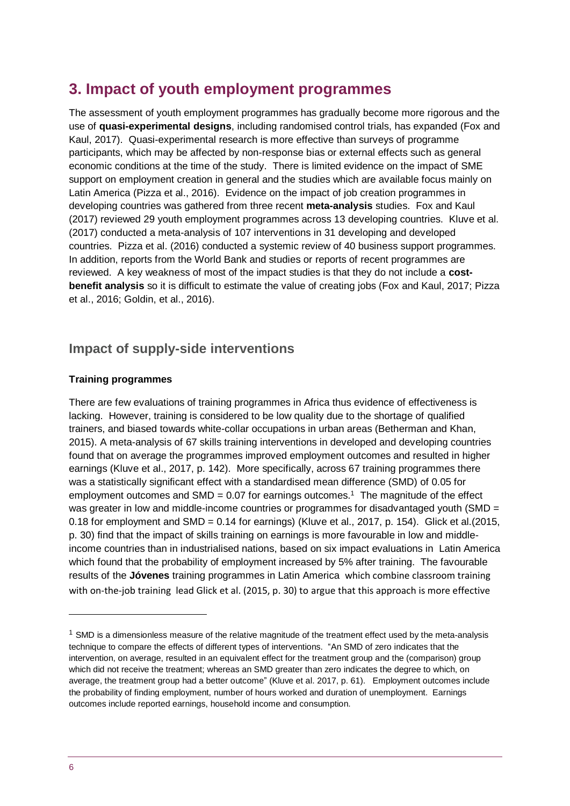# <span id="page-5-0"></span>**3. Impact of youth employment programmes**

The assessment of youth employment programmes has gradually become more rigorous and the use of **quasi-experimental designs**, including randomised control trials, has expanded (Fox and Kaul, 2017). Quasi-experimental research is more effective than surveys of programme participants, which may be affected by non-response bias or external effects such as general economic conditions at the time of the study. There is limited evidence on the impact of SME support on employment creation in general and the studies which are available focus mainly on Latin America (Pizza et al., 2016). Evidence on the impact of job creation programmes in developing countries was gathered from three recent **meta-analysis** studies. Fox and Kaul (2017) reviewed 29 youth employment programmes across 13 developing countries. Kluve et al. (2017) conducted a meta-analysis of 107 interventions in 31 developing and developed countries. Pizza et al. (2016) conducted a systemic review of 40 business support programmes. In addition, reports from the World Bank and studies or reports of recent programmes are reviewed. A key weakness of most of the impact studies is that they do not include a **costbenefit analysis** so it is difficult to estimate the value of creating jobs (Fox and Kaul, 2017; Pizza et al., 2016; Goldin, et al., 2016).

## **Impact of supply-side interventions**

#### **Training programmes**

There are few evaluations of training programmes in Africa thus evidence of effectiveness is lacking. However, training is considered to be low quality due to the shortage of qualified trainers, and biased towards white-collar occupations in urban areas (Betherman and Khan, 2015). A meta-analysis of 67 skills training interventions in developed and developing countries found that on average the programmes improved employment outcomes and resulted in higher earnings (Kluve et al., 2017, p. 142). More specifically, across 67 training programmes there was a statistically significant effect with a standardised mean difference (SMD) of 0.05 for employment outcomes and SMD =  $0.07$  for earnings outcomes.<sup>1</sup> The magnitude of the effect was greater in low and middle-income countries or programmes for disadvantaged youth (SMD = 0.18 for employment and SMD = 0.14 for earnings) (Kluve et al., 2017, p. 154). Glick et al.(2015, p. 30) find that the impact of skills training on earnings is more favourable in low and middleincome countries than in industrialised nations, based on six impact evaluations in Latin America which found that the probability of employment increased by 5% after training. The favourable results of the **Jóvenes** training programmes in Latin America which combine classroom training with on-the-job training lead Glick et al. (2015, p. 30) to argue that this approach is more effective

1

 $1$  SMD is a dimensionless measure of the relative magnitude of the treatment effect used by the meta-analysis technique to compare the effects of different types of interventions. "An SMD of zero indicates that the intervention, on average, resulted in an equivalent effect for the treatment group and the (comparison) group which did not receive the treatment; whereas an SMD greater than zero indicates the degree to which, on average, the treatment group had a better outcome" (Kluve et al. 2017, p. 61). Employment outcomes include the probability of finding employment, number of hours worked and duration of unemployment. Earnings outcomes include reported earnings, household income and consumption.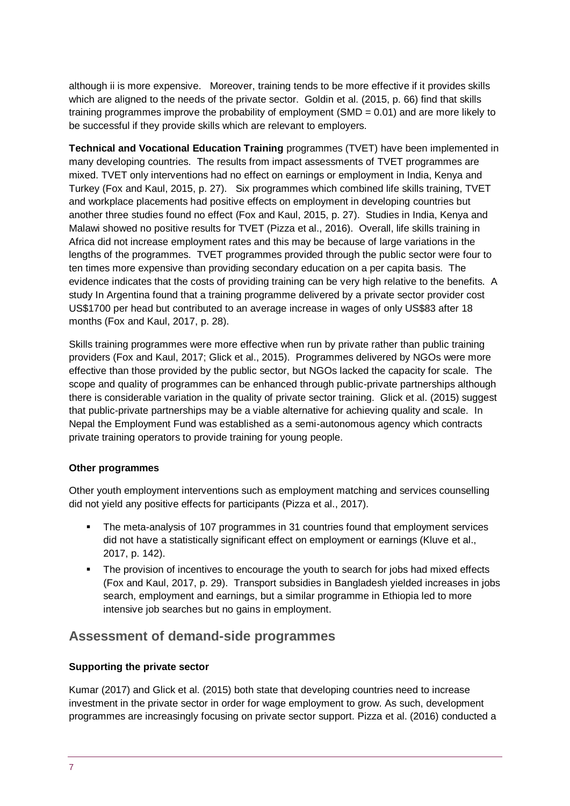although ii is more expensive. Moreover, training tends to be more effective if it provides skills which are aligned to the needs of the private sector. Goldin et al. (2015, p. 66) find that skills training programmes improve the probability of employment (SMD =  $0.01$ ) and are more likely to be successful if they provide skills which are relevant to employers.

**Technical and Vocational Education Training** programmes (TVET) have been implemented in many developing countries. The results from impact assessments of TVET programmes are mixed. TVET only interventions had no effect on earnings or employment in India, Kenya and Turkey (Fox and Kaul, 2015, p. 27). Six programmes which combined life skills training, TVET and workplace placements had positive effects on employment in developing countries but another three studies found no effect (Fox and Kaul, 2015, p. 27). Studies in India, Kenya and Malawi showed no positive results for TVET (Pizza et al., 2016). Overall, life skills training in Africa did not increase employment rates and this may be because of large variations in the lengths of the programmes. TVET programmes provided through the public sector were four to ten times more expensive than providing secondary education on a per capita basis. The evidence indicates that the costs of providing training can be very high relative to the benefits. A study In Argentina found that a training programme delivered by a private sector provider cost US\$1700 per head but contributed to an average increase in wages of only US\$83 after 18 months (Fox and Kaul, 2017, p. 28).

Skills training programmes were more effective when run by private rather than public training providers (Fox and Kaul, 2017; Glick et al., 2015). Programmes delivered by NGOs were more effective than those provided by the public sector, but NGOs lacked the capacity for scale. The scope and quality of programmes can be enhanced through public-private partnerships although there is considerable variation in the quality of private sector training. Glick et al. (2015) suggest that public-private partnerships may be a viable alternative for achieving quality and scale. In Nepal the Employment Fund was established as a semi-autonomous agency which contracts private training operators to provide training for young people.

#### **Other programmes**

Other youth employment interventions such as employment matching and services counselling did not yield any positive effects for participants (Pizza et al., 2017).

- The meta-analysis of 107 programmes in 31 countries found that employment services did not have a statistically significant effect on employment or earnings (Kluve et al., 2017, p. 142).
- **•** The provision of incentives to encourage the youth to search for jobs had mixed effects (Fox and Kaul, 2017, p. 29). Transport subsidies in Bangladesh yielded increases in jobs search, employment and earnings, but a similar programme in Ethiopia led to more intensive job searches but no gains in employment.

## **Assessment of demand-side programmes**

#### **Supporting the private sector**

Kumar (2017) and Glick et al. (2015) both state that developing countries need to increase investment in the private sector in order for wage employment to grow. As such, development programmes are increasingly focusing on private sector support. Pizza et al. (2016) conducted a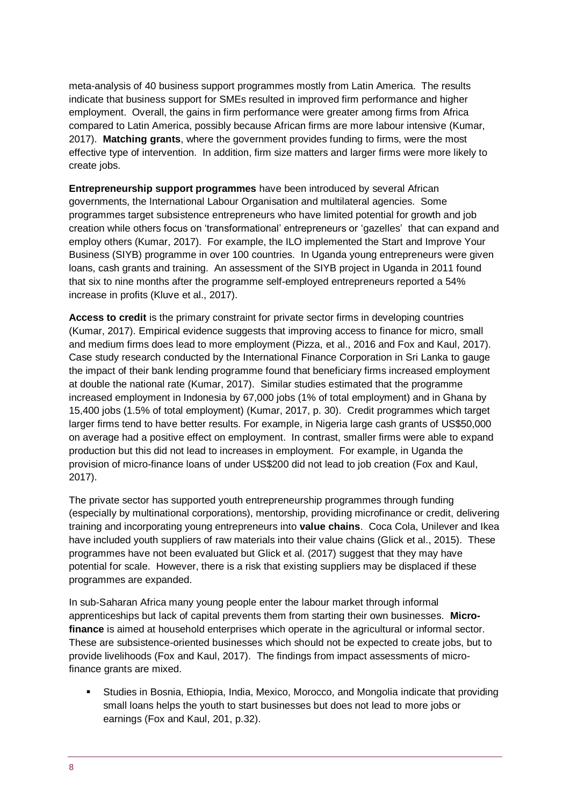meta-analysis of 40 business support programmes mostly from Latin America. The results indicate that business support for SMEs resulted in improved firm performance and higher employment. Overall, the gains in firm performance were greater among firms from Africa compared to Latin America, possibly because African firms are more labour intensive (Kumar, 2017). **Matching grants**, where the government provides funding to firms, were the most effective type of intervention. In addition, firm size matters and larger firms were more likely to create jobs.

**Entrepreneurship support programmes** have been introduced by several African governments, the International Labour Organisation and multilateral agencies. Some programmes target subsistence entrepreneurs who have limited potential for growth and job creation while others focus on 'transformational' entrepreneurs or 'gazelles' that can expand and employ others (Kumar, 2017). For example, the ILO implemented the Start and Improve Your Business (SIYB) programme in over 100 countries. In Uganda young entrepreneurs were given loans, cash grants and training. An assessment of the SIYB project in Uganda in 2011 found that six to nine months after the programme self-employed entrepreneurs reported a 54% increase in profits (Kluve et al., 2017).

**Access to credit** is the primary constraint for private sector firms in developing countries (Kumar, 2017). Empirical evidence suggests that improving access to finance for micro, small and medium firms does lead to more employment (Pizza, et al., 2016 and Fox and Kaul, 2017). Case study research conducted by the International Finance Corporation in Sri Lanka to gauge the impact of their bank lending programme found that beneficiary firms increased employment at double the national rate (Kumar, 2017). Similar studies estimated that the programme increased employment in Indonesia by 67,000 jobs (1% of total employment) and in Ghana by 15,400 jobs (1.5% of total employment) (Kumar, 2017, p. 30). Credit programmes which target larger firms tend to have better results. For example, in Nigeria large cash grants of US\$50,000 on average had a positive effect on employment. In contrast, smaller firms were able to expand production but this did not lead to increases in employment. For example, in Uganda the provision of micro-finance loans of under US\$200 did not lead to job creation (Fox and Kaul, 2017).

The private sector has supported youth entrepreneurship programmes through funding (especially by multinational corporations), mentorship, providing microfinance or credit, delivering training and incorporating young entrepreneurs into **value chains**. Coca Cola, Unilever and Ikea have included youth suppliers of raw materials into their value chains (Glick et al., 2015). These programmes have not been evaluated but Glick et al. (2017) suggest that they may have potential for scale. However, there is a risk that existing suppliers may be displaced if these programmes are expanded.

In sub-Saharan Africa many young people enter the labour market through informal apprenticeships but lack of capital prevents them from starting their own businesses. **Microfinance** is aimed at household enterprises which operate in the agricultural or informal sector. These are subsistence-oriented businesses which should not be expected to create jobs, but to provide livelihoods (Fox and Kaul, 2017). The findings from impact assessments of microfinance grants are mixed.

▪ Studies in Bosnia, Ethiopia, India, Mexico, Morocco, and Mongolia indicate that providing small loans helps the youth to start businesses but does not lead to more jobs or earnings (Fox and Kaul, 201, p.32).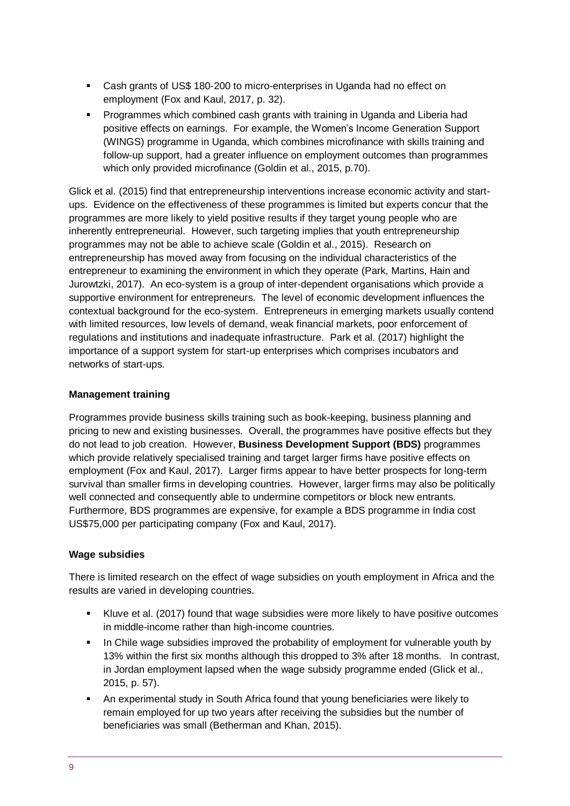- Cash grants of US\$ 180-200 to micro-enterprises in Uganda had no effect on employment (Fox and Kaul, 2017, p. 32).
- Programmes which combined cash grants with training in Uganda and Liberia had positive effects on earnings. For example, the Women's Income Generation Support (WINGS) programme in Uganda, which combines microfinance with skills training and follow-up support, had a greater influence on employment outcomes than programmes which only provided microfinance (Goldin et al., 2015, p.70).

Glick et al. (2015) find that entrepreneurship interventions increase economic activity and startups. Evidence on the effectiveness of these programmes is limited but experts concur that the programmes are more likely to yield positive results if they target young people who are inherently entrepreneurial. However, such targeting implies that youth entrepreneurship programmes may not be able to achieve scale (Goldin et al., 2015). Research on entrepreneurship has moved away from focusing on the individual characteristics of the entrepreneur to examining the environment in which they operate (Park, Martins, Hain and Jurowtzki, 2017). An eco-system is a group of inter-dependent organisations which provide a supportive environment for entrepreneurs. The level of economic development influences the contextual background for the eco-system. Entrepreneurs in emerging markets usually contend with limited resources, low levels of demand, weak financial markets, poor enforcement of regulations and institutions and inadequate infrastructure. Park et al. (2017) highlight the importance of a support system for start-up enterprises which comprises incubators and networks of start-ups.

#### **Management training**

Programmes provide business skills training such as book-keeping, business planning and pricing to new and existing businesses. Overall, the programmes have positive effects but they do not lead to job creation. However, **Business Development Support (BDS)** programmes which provide relatively specialised training and target larger firms have positive effects on employment (Fox and Kaul, 2017). Larger firms appear to have better prospects for long-term survival than smaller firms in developing countries. However, larger firms may also be politically well connected and consequently able to undermine competitors or block new entrants. Furthermore, BDS programmes are expensive, for example a BDS programme in India cost US\$75,000 per participating company (Fox and Kaul, 2017).

## **Wage subsidies**

There is limited research on the effect of wage subsidies on youth employment in Africa and the results are varied in developing countries.

- Kluve et al. (2017) found that wage subsidies were more likely to have positive outcomes in middle-income rather than high-income countries.
- **■** In Chile wage subsidies improved the probability of employment for vulnerable youth by 13% within the first six months although this dropped to 3% after 18 months. In contrast, in Jordan employment lapsed when the wage subsidy programme ended (Glick et al., 2015, p. 57).
- An experimental study in South Africa found that young beneficiaries were likely to remain employed for up two years after receiving the subsidies but the number of beneficiaries was small (Betherman and Khan, 2015).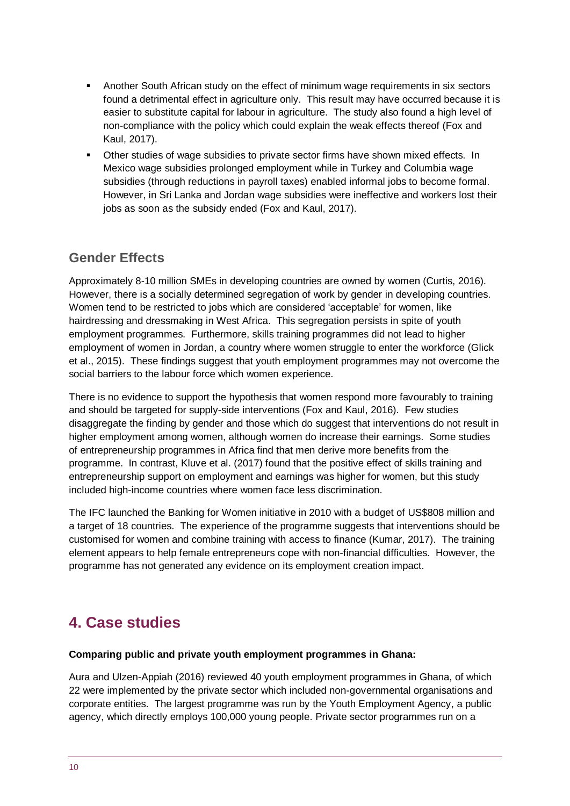- Another South African study on the effect of minimum wage requirements in six sectors found a detrimental effect in agriculture only. This result may have occurred because it is easier to substitute capital for labour in agriculture. The study also found a high level of non-compliance with the policy which could explain the weak effects thereof (Fox and Kaul, 2017).
- Other studies of wage subsidies to private sector firms have shown mixed effects. In Mexico wage subsidies prolonged employment while in Turkey and Columbia wage subsidies (through reductions in payroll taxes) enabled informal jobs to become formal. However, in Sri Lanka and Jordan wage subsidies were ineffective and workers lost their jobs as soon as the subsidy ended (Fox and Kaul, 2017).

## **Gender Effects**

Approximately 8-10 million SMEs in developing countries are owned by women (Curtis, 2016). However, there is a socially determined segregation of work by gender in developing countries. Women tend to be restricted to jobs which are considered 'acceptable' for women, like hairdressing and dressmaking in West Africa. This segregation persists in spite of youth employment programmes. Furthermore, skills training programmes did not lead to higher employment of women in Jordan, a country where women struggle to enter the workforce (Glick et al., 2015). These findings suggest that youth employment programmes may not overcome the social barriers to the labour force which women experience.

There is no evidence to support the hypothesis that women respond more favourably to training and should be targeted for supply-side interventions (Fox and Kaul, 2016). Few studies disaggregate the finding by gender and those which do suggest that interventions do not result in higher employment among women, although women do increase their earnings. Some studies of entrepreneurship programmes in Africa find that men derive more benefits from the programme. In contrast, Kluve et al. (2017) found that the positive effect of skills training and entrepreneurship support on employment and earnings was higher for women, but this study included high-income countries where women face less discrimination.

The IFC launched the Banking for Women initiative in 2010 with a budget of US\$808 million and a target of 18 countries. The experience of the programme suggests that interventions should be customised for women and combine training with access to finance (Kumar, 2017). The training element appears to help female entrepreneurs cope with non-financial difficulties. However, the programme has not generated any evidence on its employment creation impact.

# **4. Case studies**

#### **Comparing public and private youth employment programmes in Ghana:**

Aura and Ulzen-Appiah (2016) reviewed 40 youth employment programmes in Ghana, of which 22 were implemented by the private sector which included non-governmental organisations and corporate entities. The largest programme was run by the Youth Employment Agency, a public agency, which directly employs 100,000 young people. Private sector programmes run on a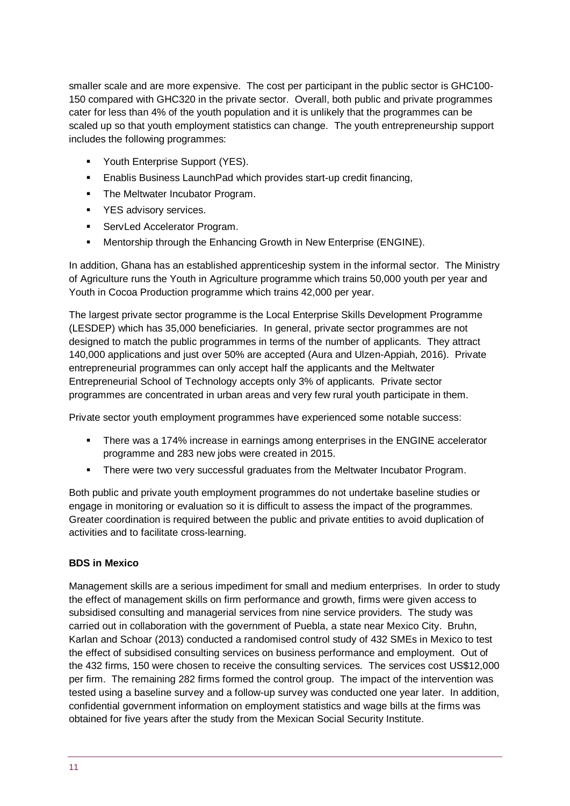smaller scale and are more expensive. The cost per participant in the public sector is GHC100- 150 compared with GHC320 in the private sector. Overall, both public and private programmes cater for less than 4% of the youth population and it is unlikely that the programmes can be scaled up so that youth employment statistics can change. The youth entrepreneurship support includes the following programmes:

- Youth Enterprise Support (YES).
- Enablis Business Launch Pad which provides start-up credit financing,
- The Meltwater Incubator Program.
- YES advisory services.
- **ServLed Accelerator Program.**
- Mentorship through the Enhancing Growth in New Enterprise (ENGINE).

In addition, Ghana has an established apprenticeship system in the informal sector. The Ministry of Agriculture runs the Youth in Agriculture programme which trains 50,000 youth per year and Youth in Cocoa Production programme which trains 42,000 per year.

The largest private sector programme is the Local Enterprise Skills Development Programme (LESDEP) which has 35,000 beneficiaries. In general, private sector programmes are not designed to match the public programmes in terms of the number of applicants. They attract 140,000 applications and just over 50% are accepted (Aura and Ulzen-Appiah, 2016). Private entrepreneurial programmes can only accept half the applicants and the Meltwater Entrepreneurial School of Technology accepts only 3% of applicants. Private sector programmes are concentrated in urban areas and very few rural youth participate in them.

Private sector youth employment programmes have experienced some notable success:

- **•** There was a 174% increase in earnings among enterprises in the ENGINE accelerator programme and 283 new jobs were created in 2015.
- There were two very successful graduates from the Meltwater Incubator Program.

Both public and private youth employment programmes do not undertake baseline studies or engage in monitoring or evaluation so it is difficult to assess the impact of the programmes. Greater coordination is required between the public and private entities to avoid duplication of activities and to facilitate cross-learning.

## **BDS in Mexico**

Management skills are a serious impediment for small and medium enterprises. In order to study the effect of management skills on firm performance and growth, firms were given access to subsidised consulting and managerial services from nine service providers. The study was carried out in collaboration with the government of Puebla, a state near Mexico City. Bruhn, Karlan and Schoar (2013) conducted a randomised control study of 432 SMEs in Mexico to test the effect of subsidised consulting services on business performance and employment. Out of the 432 firms, 150 were chosen to receive the consulting services. The services cost US\$12,000 per firm. The remaining 282 firms formed the control group. The impact of the intervention was tested using a baseline survey and a follow-up survey was conducted one year later. In addition, confidential government information on employment statistics and wage bills at the firms was obtained for five years after the study from the Mexican Social Security Institute.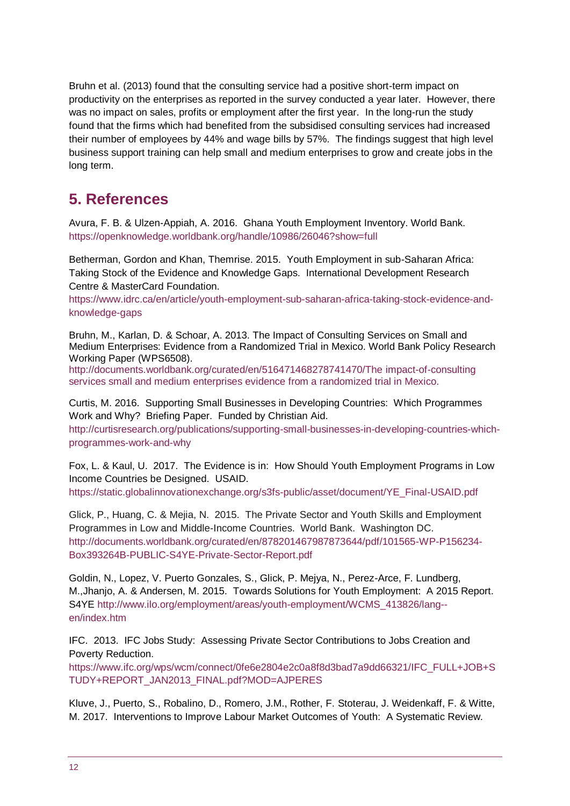Bruhn et al. (2013) found that the consulting service had a positive short-term impact on productivity on the enterprises as reported in the survey conducted a year later. However, there was no impact on sales, profits or employment after the first year. In the long-run the study found that the firms which had benefited from the subsidised consulting services had increased their number of employees by 44% and wage bills by 57%. The findings suggest that high level business support training can help small and medium enterprises to grow and create jobs in the long term.

# <span id="page-11-0"></span>**5. References**

Avura, F. B. & Ulzen-Appiah, A. 2016. Ghana Youth Employment Inventory. World Bank. https://openknowledge.worldbank.org/handle/10986/26046?show=full

Betherman, Gordon and Khan, Themrise. 2015. Youth Employment in sub-Saharan Africa: Taking Stock of the Evidence and Knowledge Gaps. International Development Research Centre & MasterCard Foundation.

[https://www.idrc.ca/en/article/youth-employment-sub-saharan-africa-taking-stock-evidence-and](https://www.idrc.ca/en/article/youth-employment-sub-saharan-africa-taking-stock-evidence-and-knowledge-gaps)[knowledge-gaps](https://www.idrc.ca/en/article/youth-employment-sub-saharan-africa-taking-stock-evidence-and-knowledge-gaps)

Bruhn, M., Karlan, D. & Schoar, A. 2013. The Impact of Consulting Services on Small and Medium Enterprises: Evidence from a Randomized Trial in Mexico. World Bank Policy Research Working Paper (WPS6508).

<http://documents.worldbank.org/curated/en/516471468278741470/The> impact-of-consulting services small and medium enterprises evidence from a randomized trial in Mexico.

Curtis, M. 2016. Supporting Small Businesses in Developing Countries: Which Programmes Work and Why? Briefing Paper. Funded by Christian Aid.

http://curtisresearch.org/publications/supporting-small-businesses-in-developing-countries-whichprogrammes-work-and-why

Fox, L. & Kaul, U. 2017. The Evidence is in: How Should Youth Employment Programs in Low Income Countries be Designed. USAID.

[https://static.globalinnovationexchange.org/s3fs-public/asset/document/YE\\_Final-USAID.pdf](https://static.globalinnovationexchange.org/s3fs-public/asset/document/YE_Final-USAID.pdf)

Glick, P., Huang, C. & Mejia, N. 2015. The Private Sector and Youth Skills and Employment Programmes in Low and Middle-Income Countries. World Bank. Washington DC. [http://documents.worldbank.org/curated/en/878201467987873644/pdf/101565-WP-P156234-](http://documents.worldbank.org/curated/en/878201467987873644/pdf/101565-WP-P156234-Box393264B-PUBLIC-S4YE-Private-Sector-Report.pdf) [Box393264B-PUBLIC-S4YE-Private-Sector-Report.pdf](http://documents.worldbank.org/curated/en/878201467987873644/pdf/101565-WP-P156234-Box393264B-PUBLIC-S4YE-Private-Sector-Report.pdf)

Goldin, N., Lopez, V. Puerto Gonzales, S., Glick, P. Mejya, N., Perez-Arce, F. Lundberg, M.,Jhanjo, A. & Andersen, M. 2015. Towards Solutions for Youth Employment: A 2015 Report. S4YE [http://www.ilo.org/employment/areas/youth-employment/WCMS\\_413826/lang-](http://www.ilo.org/employment/areas/youth-employment/WCMS_413826/lang--en/index.htm) [en/index.htm](http://www.ilo.org/employment/areas/youth-employment/WCMS_413826/lang--en/index.htm)

IFC. 2013. IFC Jobs Study: Assessing Private Sector Contributions to Jobs Creation and Poverty Reduction.

https://www.ifc.org/wps/wcm/connect/0fe6e2804e2c0a8f8d3bad7a9dd66321/IFC\_FULL+JOB+S TUDY+REPORT\_JAN2013\_FINAL.pdf?MOD=AJPERES

Kluve, J., Puerto, S., Robalino, D., Romero, J.M., Rother, F. Stoterau, J. Weidenkaff, F. & Witte, M. 2017. Interventions to Improve Labour Market Outcomes of Youth: A Systematic Review.